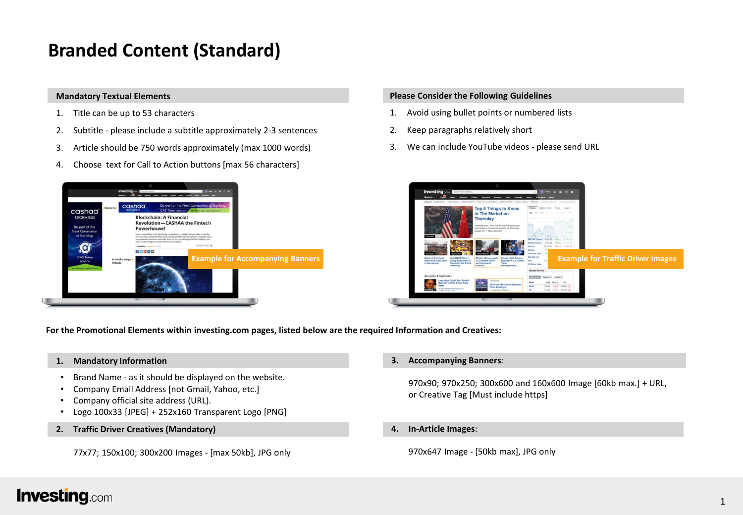# **Branded Content (Standard)**

### **Mandatory Textual Elements**

- 1. Title can be up to 53 characters
- 2. Subtitle please include a subtitle approximately 2-3 sentences
- 3. Article should be 750 words approximately (max 1000 words)
- 4. Choose text for Call to Action buttons [max 56 characters]



### **Please Consider the Following Guidelines**

- 1. Avoid using bullet points or numbered lists
- 2. Keep paragraphs relatively short
- 3. We can include YouTube videos please send URL



**For the Promotional Elements within investing.com pages, listed below are the required Information and Creatives:**

### **1. Mandatory Information**

- Brand Name as it should be displayed on the website.
- Company Email Address [not Gmail, Yahoo, etc.]
- Company official site address (URL).
- Logo 100x33 [JPEG] + 252x160 Transparent Logo [PNG]
- **2. Traffic Driver Creatives (Mandatory)**

77x77; 150x100; 300x200 Images - [max 50kb], JPG only

### **3. Accompanying Banners**:

970x90; 970x250; 300x600 and 160x600 Image [60kb max.] + URL, or Creative Tag [Must include https]

**4. In-Article Images**:

970x647 Image - [50kb max], JPG only

## **Investing**.com